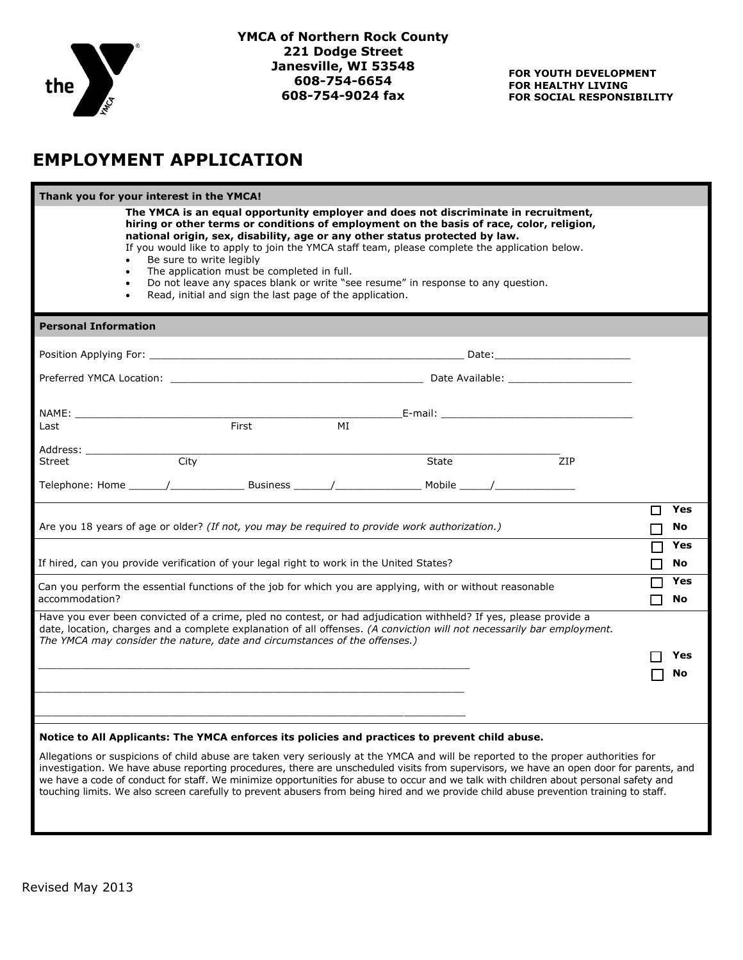

## **EMPLOYMENT APPLICATION**

| Thank you for your interest in the YMCA!                                                                                                                                                                                                                                                                                                                                                                                                                                                                                                                                                                                                                         |                |
|------------------------------------------------------------------------------------------------------------------------------------------------------------------------------------------------------------------------------------------------------------------------------------------------------------------------------------------------------------------------------------------------------------------------------------------------------------------------------------------------------------------------------------------------------------------------------------------------------------------------------------------------------------------|----------------|
| The YMCA is an equal opportunity employer and does not discriminate in recruitment,<br>hiring or other terms or conditions of employment on the basis of race, color, religion,<br>national origin, sex, disability, age or any other status protected by law.<br>If you would like to apply to join the YMCA staff team, please complete the application below.<br>Be sure to write legibly<br>The application must be completed in full.<br>$\bullet$<br>Do not leave any spaces blank or write "see resume" in response to any question.<br>Read, initial and sign the last page of the application.                                                          |                |
| <b>Personal Information</b>                                                                                                                                                                                                                                                                                                                                                                                                                                                                                                                                                                                                                                      |                |
| Position Applying For: the contract of the contract of the contract of the contract of the contract of the contract of the contract of the contract of the contract of the contract of the contract of the contract of the con                                                                                                                                                                                                                                                                                                                                                                                                                                   |                |
|                                                                                                                                                                                                                                                                                                                                                                                                                                                                                                                                                                                                                                                                  |                |
| NAME: __________________________                                                                                                                                                                                                                                                                                                                                                                                                                                                                                                                                                                                                                                 |                |
| First<br>MI<br>Last                                                                                                                                                                                                                                                                                                                                                                                                                                                                                                                                                                                                                                              |                |
| Address: ___________________<br><b>City</b><br>State<br>ZIP<br><b>Street</b>                                                                                                                                                                                                                                                                                                                                                                                                                                                                                                                                                                                     |                |
|                                                                                                                                                                                                                                                                                                                                                                                                                                                                                                                                                                                                                                                                  |                |
| Are you 18 years of age or older? (If not, you may be required to provide work authorization.)                                                                                                                                                                                                                                                                                                                                                                                                                                                                                                                                                                   | Yes<br>П<br>No |
| If hired, can you provide verification of your legal right to work in the United States?                                                                                                                                                                                                                                                                                                                                                                                                                                                                                                                                                                         | Yes<br>No      |
| Can you perform the essential functions of the job for which you are applying, with or without reasonable<br>accommodation?                                                                                                                                                                                                                                                                                                                                                                                                                                                                                                                                      | Yes<br>No      |
| Have you ever been convicted of a crime, pled no contest, or had adjudication withheld? If yes, please provide a<br>date, location, charges and a complete explanation of all offenses. (A conviction will not necessarily bar employment.<br>The YMCA may consider the nature, date and circumstances of the offenses.)                                                                                                                                                                                                                                                                                                                                         | Yes<br>No      |
| Notice to All Applicants: The YMCA enforces its policies and practices to prevent child abuse.<br>Allegations or suspicions of child abuse are taken very seriously at the YMCA and will be reported to the proper authorities for<br>investigation. We have abuse reporting procedures, there are unscheduled visits from supervisors, we have an open door for parents, and<br>we have a code of conduct for staff. We minimize opportunities for abuse to occur and we talk with children about personal safety and<br>touching limits. We also screen carefully to prevent abusers from being hired and we provide child abuse prevention training to staff. |                |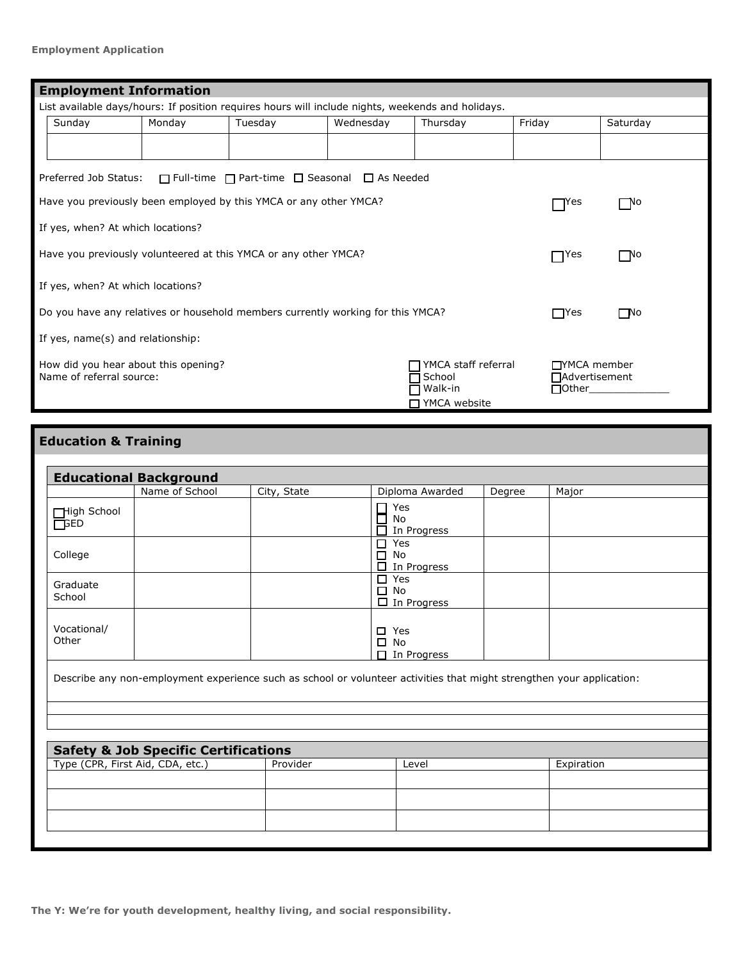| <b>Employment Information</b>                                                                                                                                                              |        |        |         |           |            |            |           |
|--------------------------------------------------------------------------------------------------------------------------------------------------------------------------------------------|--------|--------|---------|-----------|------------|------------|-----------|
| List available days/hours: If position requires hours will include nights, weekends and holidays.                                                                                          |        |        |         |           |            |            |           |
|                                                                                                                                                                                            | Sunday | Monday | Tuesday | Wednesday | Thursday   | Friday     | Saturday  |
|                                                                                                                                                                                            |        |        |         |           |            |            |           |
| Preferred Job Status:<br>$\Box$ Full-time $\Box$ Part-time $\Box$ Seasonal $\Box$ As Needed                                                                                                |        |        |         |           |            |            |           |
| Have you previously been employed by this YMCA or any other YMCA?                                                                                                                          |        |        |         |           |            | TYes       | $\Box$ No |
| If yes, when? At which locations?                                                                                                                                                          |        |        |         |           |            |            |           |
| Have you previously volunteered at this YMCA or any other YMCA?                                                                                                                            |        |        |         |           | $\Box$ Yes | $\Box$ No  |           |
| If yes, when? At which locations?                                                                                                                                                          |        |        |         |           |            |            |           |
| Do you have any relatives or household members currently working for this YMCA?                                                                                                            |        |        |         |           |            | $\Box$ Yes | $\Box$ No |
| If yes, name(s) and relationship:                                                                                                                                                          |        |        |         |           |            |            |           |
| YMCA staff referral<br>□ TYMCA member<br>How did you hear about this opening?<br>Name of referral source:<br>School<br><b>□</b> Advertisement<br>Walk-in<br>$\Box$ Other<br>□ YMCA website |        |        |         |           |            |            |           |

# **Education & Training**

|               | Name of School                                  | City, State | Diploma Awarded                                                                                                       | Degree | Major      |
|---------------|-------------------------------------------------|-------------|-----------------------------------------------------------------------------------------------------------------------|--------|------------|
|               |                                                 |             |                                                                                                                       |        |            |
| High School   |                                                 |             | Yes                                                                                                                   |        |            |
| <b>LL</b> BED |                                                 |             | No<br>In Progress                                                                                                     |        |            |
|               |                                                 |             | 0<br>Yes                                                                                                              |        |            |
| College       |                                                 |             | No<br>□                                                                                                               |        |            |
|               |                                                 |             | □ In Progress                                                                                                         |        |            |
| Graduate      |                                                 |             | $\Box$ Yes                                                                                                            |        |            |
| School        |                                                 |             | $\Box$ No                                                                                                             |        |            |
|               |                                                 |             | $\Box$ In Progress                                                                                                    |        |            |
|               |                                                 |             |                                                                                                                       |        |            |
| Vocational/   |                                                 |             | Yes                                                                                                                   |        |            |
| Other         |                                                 |             | $\square$ No                                                                                                          |        |            |
|               |                                                 |             | $\Box$ In Progress                                                                                                    |        |            |
|               |                                                 |             |                                                                                                                       |        |            |
|               |                                                 |             |                                                                                                                       |        |            |
|               |                                                 |             | Describe any non-employment experience such as school or volunteer activities that might strengthen your application: |        |            |
|               |                                                 |             |                                                                                                                       |        |            |
|               |                                                 |             |                                                                                                                       |        |            |
|               |                                                 |             |                                                                                                                       |        |            |
|               |                                                 |             |                                                                                                                       |        |            |
|               |                                                 |             |                                                                                                                       |        |            |
|               | <b>Safety &amp; Job Specific Certifications</b> |             | Level                                                                                                                 |        |            |
|               | Type (CPR, First Aid, CDA, etc.)                | Provider    |                                                                                                                       |        | Expiration |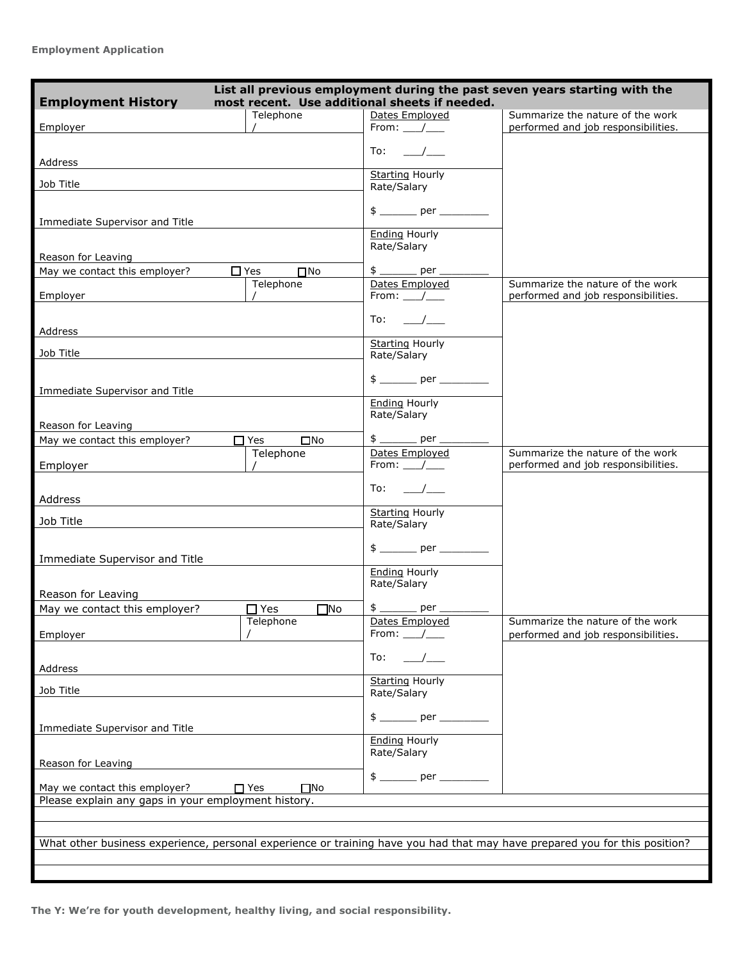| List all previous employment during the past seven years starting with the<br><b>Employment History</b><br>most recent. Use additional sheets if needed. |                                      |                                            |                                                                         |  |  |  |
|----------------------------------------------------------------------------------------------------------------------------------------------------------|--------------------------------------|--------------------------------------------|-------------------------------------------------------------------------|--|--|--|
| Employer                                                                                                                                                 | Telephone                            | Dates Emploved<br>From: $\angle$           | Summarize the nature of the work<br>performed and job responsibilities. |  |  |  |
|                                                                                                                                                          |                                      | To:    /                                   |                                                                         |  |  |  |
| Address                                                                                                                                                  |                                      | <b>Starting Hourly</b>                     |                                                                         |  |  |  |
| Job Title                                                                                                                                                |                                      | Rate/Salary                                |                                                                         |  |  |  |
| Immediate Supervisor and Title                                                                                                                           |                                      | $$$ __________ per ____________            |                                                                         |  |  |  |
|                                                                                                                                                          |                                      | <b>Ending Hourly</b><br>Rate/Salary        |                                                                         |  |  |  |
| Reason for Leaving                                                                                                                                       |                                      |                                            |                                                                         |  |  |  |
| May we contact this employer?                                                                                                                            | $\Box$ Yes<br>$\Box$ No<br>Telephone | $$$ _________ per ______<br>Dates Employed | Summarize the nature of the work                                        |  |  |  |
| Employer                                                                                                                                                 |                                      | From: $\frac{1}{\sqrt{2}}$                 | performed and job responsibilities.                                     |  |  |  |
| Address                                                                                                                                                  |                                      | $To:$ /                                    |                                                                         |  |  |  |
|                                                                                                                                                          |                                      | <b>Starting Hourly</b>                     |                                                                         |  |  |  |
| Job Title                                                                                                                                                |                                      | Rate/Salary                                |                                                                         |  |  |  |
| Immediate Supervisor and Title                                                                                                                           |                                      |                                            |                                                                         |  |  |  |
|                                                                                                                                                          |                                      | <b>Ending Hourly</b><br>Rate/Salary        |                                                                         |  |  |  |
| Reason for Leaving<br>May we contact this employer?                                                                                                      | $\Box$ Yes<br>$\square$ No           | $$$ _________ per __                       |                                                                         |  |  |  |
|                                                                                                                                                          | Telephone                            | Dates Employed                             | Summarize the nature of the work                                        |  |  |  |
| Employer                                                                                                                                                 |                                      | From: /                                    | performed and job responsibilities.                                     |  |  |  |
| Address                                                                                                                                                  |                                      | To: /                                      |                                                                         |  |  |  |
| Job Title                                                                                                                                                |                                      | <b>Starting Hourly</b><br>Rate/Salary      |                                                                         |  |  |  |
| Immediate Supervisor and Title                                                                                                                           |                                      |                                            |                                                                         |  |  |  |
| Reason for Leaving                                                                                                                                       |                                      | <b>Ending Hourly</b><br>Rate/Salary        |                                                                         |  |  |  |
| May we contact this employer?                                                                                                                            | $\Box$ Yes<br>$\square$ No           | \$ ______ per _                            |                                                                         |  |  |  |
| Employer                                                                                                                                                 | Telephone                            | Dates Employed<br>From: $\_\_\_\_\_\_\$    | Summarize the nature of the work<br>performed and job responsibilities. |  |  |  |
| Address                                                                                                                                                  |                                      | To:                                        |                                                                         |  |  |  |
| Job Title                                                                                                                                                |                                      | <b>Starting Hourly</b><br>Rate/Salary      |                                                                         |  |  |  |
| Immediate Supervisor and Title                                                                                                                           |                                      |                                            |                                                                         |  |  |  |
| Reason for Leaving                                                                                                                                       |                                      | <b>Ending Hourly</b><br>Rate/Salary        |                                                                         |  |  |  |
|                                                                                                                                                          |                                      | $\uparrow$ per                             |                                                                         |  |  |  |
| May we contact this employer?<br>Please explain any gaps in your employment history.                                                                     | $\Box$ Yes<br>$\square$ No           |                                            |                                                                         |  |  |  |
|                                                                                                                                                          |                                      |                                            |                                                                         |  |  |  |
| What other business experience, personal experience or training have you had that may have prepared you for this position?                               |                                      |                                            |                                                                         |  |  |  |
|                                                                                                                                                          |                                      |                                            |                                                                         |  |  |  |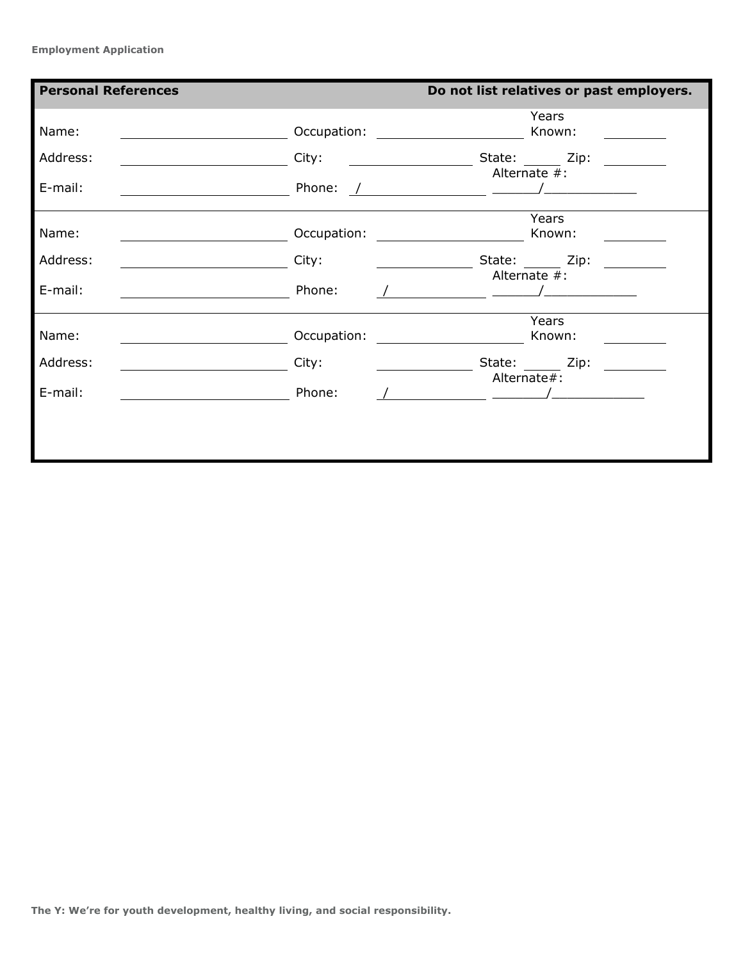**Employment Application**

| <b>Personal References</b> |             |                                                                                                                                                                                                                                                                                                                                                                                                                                    | Do not list relatives or past employers.              |  |
|----------------------------|-------------|------------------------------------------------------------------------------------------------------------------------------------------------------------------------------------------------------------------------------------------------------------------------------------------------------------------------------------------------------------------------------------------------------------------------------------|-------------------------------------------------------|--|
| Name:                      |             | Occupation: <u>_____________________</u>                                                                                                                                                                                                                                                                                                                                                                                           | Years<br>Known:                                       |  |
| Address:                   | City:       |                                                                                                                                                                                                                                                                                                                                                                                                                                    | State: Zip:                                           |  |
| E-mail:                    | Phone:      | $\frac{1}{\sqrt{2}}$ . The contract of the contract of the contract of the contract of the contract of the contract of the contract of the contract of the contract of the contract of the contract of the contract of the contract o                                                                                                                                                                                              | Alternate #:                                          |  |
| Name:                      |             |                                                                                                                                                                                                                                                                                                                                                                                                                                    | Years                                                 |  |
| Address:                   | City:       |                                                                                                                                                                                                                                                                                                                                                                                                                                    | ____________________State: ________ Zip: ____________ |  |
| E-mail:                    | Phone:      | $\overline{\phantom{a}}$ and $\overline{\phantom{a}}$ and $\overline{\phantom{a}}$ and $\overline{\phantom{a}}$ and $\overline{\phantom{a}}$ and $\overline{\phantom{a}}$ and $\overline{\phantom{a}}$ and $\overline{\phantom{a}}$ and $\overline{\phantom{a}}$ and $\overline{\phantom{a}}$ and $\overline{\phantom{a}}$ and $\overline{\phantom{a}}$ and $\overline{\phantom{a}}$ and $\overline{\phantom{a}}$ a                | Alternate #:                                          |  |
| Name:                      | Occupation: |                                                                                                                                                                                                                                                                                                                                                                                                                                    | Years<br>Known:                                       |  |
| Address:                   | City:       |                                                                                                                                                                                                                                                                                                                                                                                                                                    | State: Zip:                                           |  |
| E-mail:                    | Phone:      | Alternate#:<br>$\overline{\phantom{a}}$ and $\overline{\phantom{a}}$ and $\overline{\phantom{a}}$ and $\overline{\phantom{a}}$ and $\overline{\phantom{a}}$ and $\overline{\phantom{a}}$ and $\overline{\phantom{a}}$ and $\overline{\phantom{a}}$ and $\overline{\phantom{a}}$ and $\overline{\phantom{a}}$ and $\overline{\phantom{a}}$ and $\overline{\phantom{a}}$ and $\overline{\phantom{a}}$ and $\overline{\phantom{a}}$ a |                                                       |  |
|                            |             |                                                                                                                                                                                                                                                                                                                                                                                                                                    |                                                       |  |
|                            |             |                                                                                                                                                                                                                                                                                                                                                                                                                                    |                                                       |  |